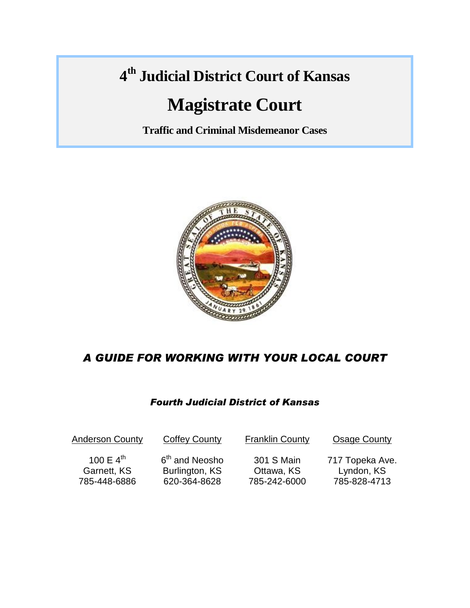# **4 th Judicial District Court of Kansas**

# **Magistrate Court**

**Traffic and Criminal Misdemeanor Cases**



# *A GUIDE FOR WORKING WITH YOUR LOCAL COURT*

### *Fourth Judicial District of Kansas*

| <b>Anderson County</b> | <b>Coffey County</b>       | <b>Franklin County</b> | <b>Osage County</b> |
|------------------------|----------------------------|------------------------|---------------------|
| 100 E $4^{\text{th}}$  | 6 <sup>th</sup> and Neosho | 301 S Main             | 717 Topeka Ave.     |
| Garnett, KS            | Burlington, KS             | Ottawa, KS             | Lyndon, KS          |
| 785-448-6886           | 620-364-8628               | 785-242-6000           | 785-828-4713        |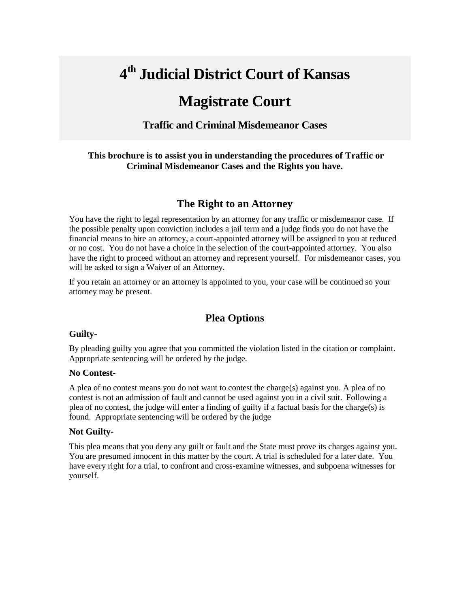# **4 th Judicial District Court of Kansas**

# **Magistrate Court**

#### **Traffic and Criminal Misdemeanor Cases**

#### **This brochure is to assist you in understanding the procedures of Traffic or Criminal Misdemeanor Cases and the Rights you have.**

#### **The Right to an Attorney**

You have the right to legal representation by an attorney for any traffic or misdemeanor case. If the possible penalty upon conviction includes a jail term and a judge finds you do not have the financial means to hire an attorney, a court-appointed attorney will be assigned to you at reduced or no cost. You do not have a choice in the selection of the court-appointed attorney. You also have the right to proceed without an attorney and represent yourself. For misdemeanor cases, you will be asked to sign a Waiver of an Attorney.

If you retain an attorney or an attorney is appointed to you, your case will be continued so your attorney may be present.

### **Plea Options**

#### **Guilty**-

By pleading guilty you agree that you committed the violation listed in the citation or complaint. Appropriate sentencing will be ordered by the judge.

#### **No Contest**-

A plea of no contest means you do not want to contest the charge(s) against you. A plea of no contest is not an admission of fault and cannot be used against you in a civil suit. Following a plea of no contest, the judge will enter a finding of guilty if a factual basis for the charge(s) is found. Appropriate sentencing will be ordered by the judge

#### **Not Guilty**-

This plea means that you deny any guilt or fault and the State must prove its charges against you. You are presumed innocent in this matter by the court. A trial is scheduled for a later date. You have every right for a trial, to confront and cross-examine witnesses, and subpoena witnesses for yourself.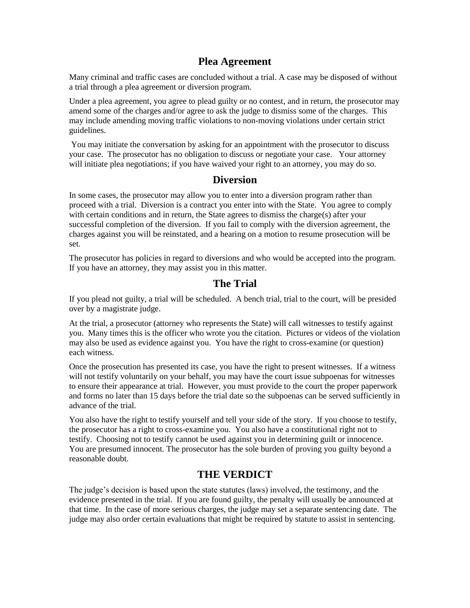#### **Plea Agreement**

Many criminal and traffic cases are concluded without a trial. A case may be disposed of without a trial through a plea agreement or diversion program.

Under a plea agreement, you agree to plead guilty or no contest, and in return, the prosecutor may amend some of the charges and/or agree to ask the judge to dismiss some of the charges. This may include amending moving traffic violations to non-moving violations under certain strict guidelines.

You may initiate the conversation by asking for an appointment with the prosecutor to discuss your case. The prosecutor has no obligation to discuss or negotiate your case. Your attorney will initiate plea negotiations; if you have waived your right to an attorney, you may do so.

#### **Diversion**

In some cases, the prosecutor may allow you to enter into a diversion program rather than proceed with a trial. Diversion is a contract you enter into with the State. You agree to comply with certain conditions and in return, the State agrees to dismiss the charge(s) after your successful completion of the diversion. If you fail to comply with the diversion agreement, the charges against you will be reinstated, and a hearing on a motion to resume prosecution will be set.

The prosecutor has policies in regard to diversions and who would be accepted into the program. If you have an attorney, they may assist you in this matter.

#### **The Trial**

If you plead not guilty, a trial will be scheduled. A bench trial, trial to the court, will be presided over by a magistrate judge.

At the trial, a prosecutor (attorney who represents the State) will call witnesses to testify against you. Many times this is the officer who wrote you the citation. Pictures or videos of the violation may also be used as evidence against you. You have the right to cross-examine (or question) each witness.

Once the prosecution has presented its case, you have the right to present witnesses. If a witness will not testify voluntarily on your behalf, you may have the court issue subpoenas for witnesses to ensure their appearance at trial. However, you must provide to the court the proper paperwork and forms no later than 15 days before the trial date so the subpoenas can be served sufficiently in advance of the trial.

You also have the right to testify yourself and tell your side of the story. If you choose to testify, the prosecutor has a right to cross-examine you. You also have a constitutional right not to testify. Choosing not to testify cannot be used against you in determining guilt or innocence. You are presumed innocent. The prosecutor has the sole burden of proving you guilty beyond a reasonable doubt.

#### **THE VERDICT**

The judge's decision is based upon the state statutes (laws) involved, the testimony, and the evidence presented in the trial. If you are found guilty, the penalty will usually be announced at that time. In the case of more serious charges, the judge may set a separate sentencing date. The judge may also order certain evaluations that might be required by statute to assist in sentencing.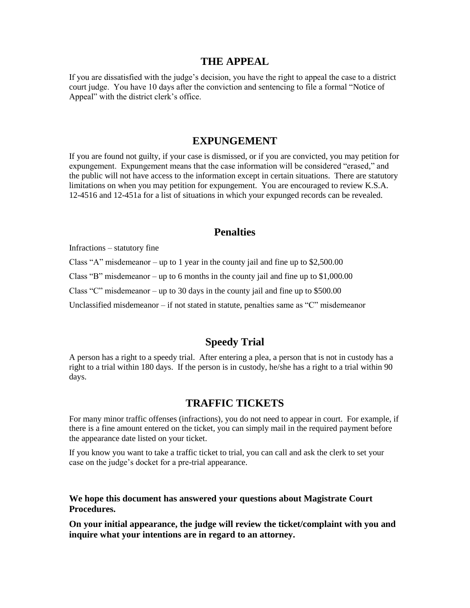#### **THE APPEAL**

If you are dissatisfied with the judge's decision, you have the right to appeal the case to a district court judge. You have 10 days after the conviction and sentencing to file a formal "Notice of Appeal" with the district clerk's office.

#### **EXPUNGEMENT**

If you are found not guilty, if your case is dismissed, or if you are convicted, you may petition for expungement. Expungement means that the case information will be considered "erased," and the public will not have access to the information except in certain situations. There are statutory limitations on when you may petition for expungement. You are encouraged to review K.S.A. 12-4516 and 12-451a for a list of situations in which your expunged records can be revealed.

#### **Penalties**

Infractions – statutory fine

Class "A" misdemeanor – up to 1 year in the county jail and fine up to \$2,500.00

Class "B" misdemeanor – up to 6 months in the county jail and fine up to  $$1,000.00$ 

Class "C" misdemeanor – up to 30 days in the county jail and fine up to \$500.00

Unclassified misdemeanor – if not stated in statute, penalties same as "C" misdemeanor

#### **Speedy Trial**

A person has a right to a speedy trial. After entering a plea, a person that is not in custody has a right to a trial within 180 days. If the person is in custody, he/she has a right to a trial within 90 days.

#### **TRAFFIC TICKETS**

For many minor traffic offenses (infractions), you do not need to appear in court. For example, if there is a fine amount entered on the ticket, you can simply mail in the required payment before the appearance date listed on your ticket.

If you know you want to take a traffic ticket to trial, you can call and ask the clerk to set your case on the judge's docket for a pre-trial appearance.

**We hope this document has answered your questions about Magistrate Court Procedures.** 

**On your initial appearance, the judge will review the ticket/complaint with you and inquire what your intentions are in regard to an attorney.**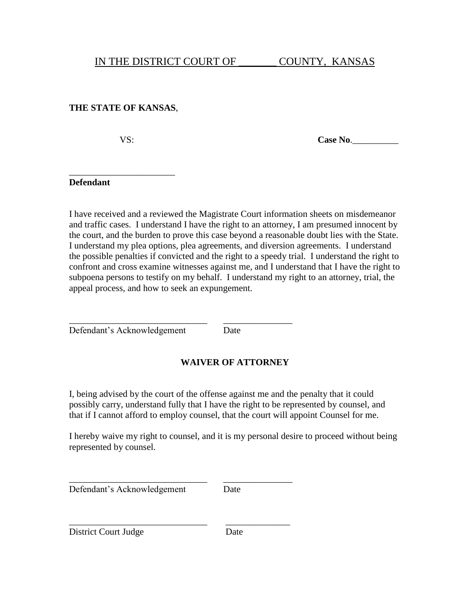#### **THE STATE OF KANSAS**,

\_\_\_\_\_\_\_\_\_\_\_\_\_\_\_\_\_\_\_\_\_\_\_

VS: Case No.

#### **Defendant**

I have received and a reviewed the Magistrate Court information sheets on misdemeanor and traffic cases. I understand I have the right to an attorney, I am presumed innocent by the court, and the burden to prove this case beyond a reasonable doubt lies with the State. I understand my plea options, plea agreements, and diversion agreements. I understand the possible penalties if convicted and the right to a speedy trial. I understand the right to confront and cross examine witnesses against me, and I understand that I have the right to subpoena persons to testify on my behalf. I understand my right to an attorney, trial, the appeal process, and how to seek an expungement.

\_\_\_\_\_\_\_\_\_\_\_\_\_\_\_\_\_\_\_\_\_\_\_\_\_\_\_\_\_\_ \_\_\_\_\_\_\_\_\_\_\_\_\_\_\_ Defendant's Acknowledgement Date

### **WAIVER OF ATTORNEY**

I, being advised by the court of the offense against me and the penalty that it could possibly carry, understand fully that I have the right to be represented by counsel, and that if I cannot afford to employ counsel, that the court will appoint Counsel for me.

I hereby waive my right to counsel, and it is my personal desire to proceed without being represented by counsel.

Defendant's Acknowledgement Date

\_\_\_\_\_\_\_\_\_\_\_\_\_\_\_\_\_\_\_\_\_\_\_\_\_\_\_\_\_\_ \_\_\_\_\_\_\_\_\_\_\_\_\_\_\_

\_\_\_\_\_\_\_\_\_\_\_\_\_\_\_\_\_\_\_\_\_\_\_\_\_\_\_\_\_\_ \_\_\_\_\_\_\_\_\_\_\_\_\_\_

District Court Judge Date